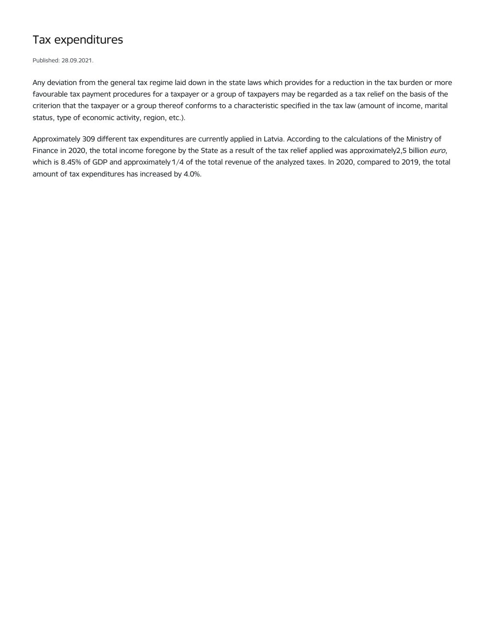## Tax expenditures

Published: 28.09.2021.

Any deviation from the general tax regime laid down in the state laws which provides for a reduction in the tax burden or more favourable tax payment procedures for a taxpayer or a group of taxpayers may be regarded as a tax relief on the basis of the criterion that the taxpayer or a group thereof conforms to a characteristic specified in the tax law (amount of income, marital status, type of economic activity, region, etc.).

Approximately 309 different tax expenditures are currently applied in Latvia. According to the calculations of the Ministry of Finance in 2020, the total income foregone by the State as a result of the tax relief applied was approximately2,5 billion euro, which is 8.45% of GDP and approximately 1/4 of the total revenue of the analyzed taxes. In 2020, compared to 2019, the total amount of tax expenditures has increased by 4.0%.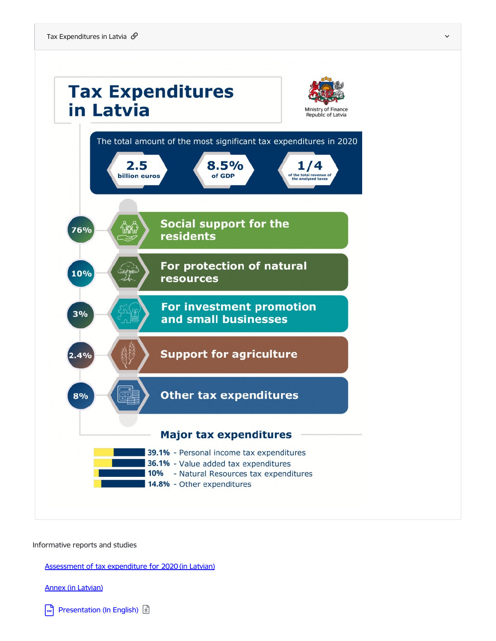

Informative reports and studies

Assessment of tax [expenditure](https://www.fm.gov.lv/lv/media/9977/download) for 2020 (in Latvian)

Annex (in [Latvian\)](https://www.fm.gov.lv/lv/media/9980/download)

[Presentation](https://www.fm.gov.lv/en/media/10010/download) (In English)  $\boxed{\mathfrak{D}}$